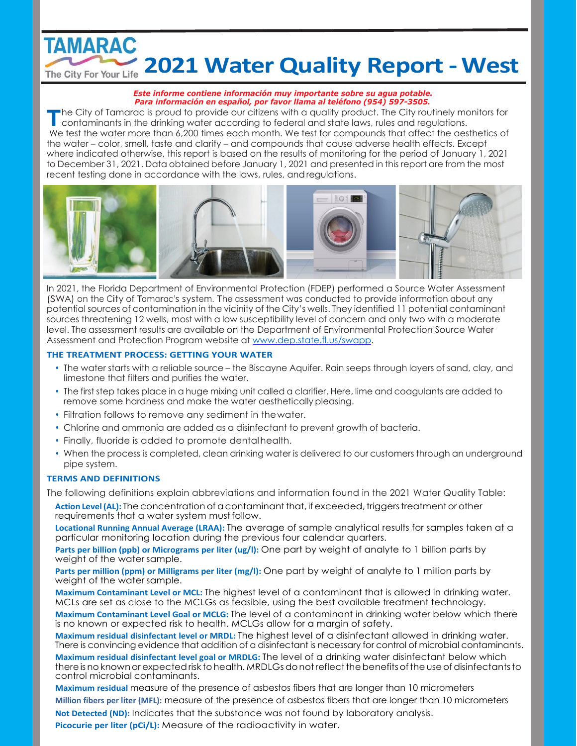## **TAMARAC 2021 Water Quality Report - West** The City For Your Life 2021 Water Quality Report - West

#### *Este informe contiene información muy importante sobre su agua potable. Para información en español, por favor llama al teléfono (954) 597-3505.*

**T** he City of Tamarac is proud to provide our citizens with a quality product. The City routinely monitors for contaminants in the drinking water according to federal and state laws, rules and regulations. We test the water more than 6,200 times each month. We test for compounds that affect the aesthetics of the water – color, smell, taste and clarity – and compounds that cause adverse health effects. Except where indicated otherwise, this report is based on the results of monitoring for the period of January 1, 2021 to December 31, 2021. Data obtained before January 1, 2021 and presented in this report are from the most recent testing done in accordance with the laws, rules, andregulations.



In 2021, the Florida Department of Environmental Protection (FDEP) performed a Source Water Assessment (SWA) on the City of Tamarac's system. The assessment was conducted to provide information about any potential sources of contamination in the vicinity of the City's wells. They identified 11 potential contaminant sources threatening 12 wells, most with a low susceptibility level of concern and only two with a moderate level. The assessment results are available on the Department of Environmental Protection Source Water Assessment and Protection Program website at [www.dep.state.fl.us/swapp.](http://www.dep.state.fl.us/swapp)

### **THE TREATMENT PROCESS: GETTING YOUR WATER**

- The water starts with a reliable source the Biscayne Aquifer. Rain seeps through layers of sand, clay, and limestone that filters and purifies the water.
- The first step takes place in a huge mixing unit called a clarifier. Here, lime and coagulants are added to remove some hardness and make the water aesthetically pleasing.
- Filtration follows to remove any sediment in thewater.
- Chlorine and ammonia are added as a disinfectant to prevent growth of bacteria.
- Finally, fluoride is added to promote dentalhealth.
- When the process is completed, clean drinking water is delivered to our customers through an underground pipe system.

## **TERMS AND DEFINITIONS**

The following definitions explain abbreviations and information found in the 2021 Water Quality Table:

Action Level (AL): The concentration of a contaminant that, if exceeded, triggers treatment or other requirements that a water system mustfollow.

**Locational Running Annual Average (LRAA):** The average of sample analytical results for samples taken at a particular monitoring location during the previous four calendar quarters.

**Parts per billion (ppb) or Micrograms per liter (ug/l):** One part by weight of analyte to 1 billion parts by weight of the water sample.

**Parts per million (ppm) or Milligrams per liter (mg/l):** One part by weight of analyte to 1 million parts by weight of the water sample.

**Maximum Contaminant Level or MCL:** The highest level of a contaminant that is allowed in drinking water. MCLs are set as close to the MCLGs as feasible, using the best available treatment technology.

**Maximum Contaminant Level Goal or MCLG:** The level of a contaminant in drinking water below which there is no known or expected risk to health. MCLGs allow for a margin of safety.

**Maximum residual disinfectant level or MRDL:** The highest level of a disinfectant allowed in drinking water. There is convincing evidence that addition of a disinfectant is necessary for control of microbial contaminants.

**Maximum residual disinfectant level goal or MRDLG:** The level of a drinking water disinfectant below which thereis no knownor expectedrisk tohealth. MRDLGsdonotreflectthebenefitsofthe useofdisinfectantsto control microbial contaminants.

**Maximum residual** measure of the presence of asbestos fibers that are longer than 10 micrometers **Million fibers per liter (MFL):** measure of the presence of asbestos fibers that are longer than 10 micrometers **Not Detected (ND):** Indicates that the substance was not found by laboratory analysis. Picocurie per liter (pCi/L): Measure of the radioactivity in water.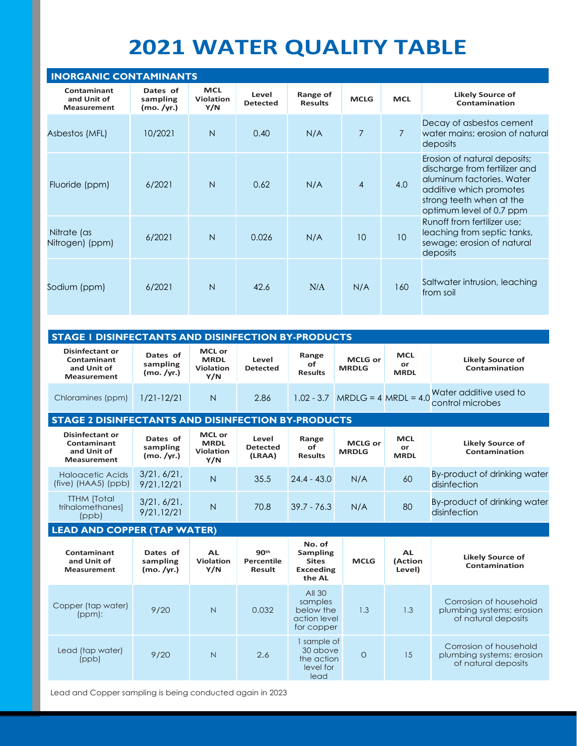# **2021 WATER QUALITY TABLE**

| <b>INORGANIC CONTAMINANTS</b>                    |                                    |                                |                          |                            |                |                 |                                                                                                                                                                               |  |  |
|--------------------------------------------------|------------------------------------|--------------------------------|--------------------------|----------------------------|----------------|-----------------|-------------------------------------------------------------------------------------------------------------------------------------------------------------------------------|--|--|
| Contaminant<br>and Unit of<br><b>Measurement</b> | Dates of<br>sampling<br>(mo. /yr.) | <b>MCL</b><br>Violation<br>Y/N | Level<br><b>Detected</b> | Range of<br><b>Results</b> | <b>MCLG</b>    | <b>MCL</b>      | <b>Likely Source of</b><br>Contamination                                                                                                                                      |  |  |
| Asbestos (MFL)                                   | 10/2021                            | $\overline{N}$                 | 0.40                     | N/A                        | $\overline{7}$ | $\overline{7}$  | Decay of asbestos cement<br>water mains: erosion of natural<br>deposits                                                                                                       |  |  |
| Fluoride (ppm)                                   | 6/2021                             | N                              | 0.62                     | N/A                        | $\overline{4}$ | 4.0             | Erosion of natural deposits;<br>discharge from fertilizer and<br>aluminum factories. Water<br>additive which promotes<br>strong teeth when at the<br>optimum level of 0.7 ppm |  |  |
| Nitrate (as<br>Nitrogen) (ppm)                   | 6/2021                             | $\overline{N}$                 | 0.026                    | N/A                        | 10             | 10 <sup>°</sup> | Runoff from fertilizer use:<br>leaching from septic tanks,<br>sewage; erosion of natural<br>deposits                                                                          |  |  |
| Sodium (ppm)                                     | 6/2021                             | $\overline{N}$                 | 42.6                     | N/A                        | N/A            | 160             | Saltwater intrusion, leaching<br>from soil                                                                                                                                    |  |  |

| <b>STAGE I DISINFECTANTS AND DISINFECTION BY-PRODUCTS</b>                  |                                    |                                                         |                          |                               |                                   |                                 |                                            |  |  |
|----------------------------------------------------------------------------|------------------------------------|---------------------------------------------------------|--------------------------|-------------------------------|-----------------------------------|---------------------------------|--------------------------------------------|--|--|
| <b>Disinfectant or</b><br>Contaminant<br>and Unit of<br><b>Measurement</b> | Dates of<br>sampling<br>(mo. /yr.) | <b>MCL or</b><br><b>MRDL</b><br><b>Violation</b><br>Y/N | Level<br><b>Detected</b> | Range<br>of<br><b>Results</b> | <b>MCLG or</b><br><b>MRDLG</b>    | <b>MCL</b><br>or<br><b>MRDL</b> | <b>Likely Source of</b><br>Contamination   |  |  |
| Chloramines (ppm)                                                          | $1/21 - 12/21$                     | N                                                       | 2.86                     |                               | $1.02 - 3.7$ MRDLG = 4 MRDL = 4.0 |                                 | Water additive used to<br>control microbes |  |  |

## **STAGE 2 DISINFECTANTS AND DISINFECTION BY-PRODUCTS**

| <b>Disinfectant or</b><br>Contaminant<br>and Unit of<br><b>Measurement</b> | Dates of<br>sampling<br>(mo. /yr.) | <b>MCL or</b><br><b>MRDL</b><br><b>Violation</b><br>Y/N | Level<br><b>Detected</b><br>(LRAA) | Range<br>оf<br><b>Results</b> | <b>MCLG or</b><br><b>MRDLG</b> | <b>MCL</b><br>or<br><b>MRDL</b> | <b>Likely Source of</b><br>Contamination     |
|----------------------------------------------------------------------------|------------------------------------|---------------------------------------------------------|------------------------------------|-------------------------------|--------------------------------|---------------------------------|----------------------------------------------|
| <b>Haloacetic Acids</b><br>$(five)$ (HAA5) (ppb)                           | 3/21, 6/21,<br>9/21.12/21          | N                                                       | 35.5                               | $24.4 - 43.0$                 | N/A                            | 60                              | By-product of drinking water<br>disinfection |
| <b>TTHM</b> [Total]<br>trihalomethanes]<br>(ppb)                           | 3/21, 6/21,<br>9/21, 12/21         | N                                                       | 70.8                               | $39.7 - 76.3$                 | N/A                            | 80                              | By-product of drinking water<br>disinfection |

## **LEAD AND COPPER (TAP WATER)**

| Contaminant<br>and Unit of<br><b>Measurement</b> | Dates of<br>sampling<br>(mo. /vr.) | <b>AL</b><br><b>Violation</b><br>Y/N | 90 <sup>th</sup><br>Percentile<br><b>Result</b> | No. of<br>Sampling<br><b>Sites</b><br><b>Exceeding</b><br>the AL | <b>MCLG</b> | AL.<br>(Action<br>Level) | <b>Likely Source of</b><br>Contamination                                   |
|--------------------------------------------------|------------------------------------|--------------------------------------|-------------------------------------------------|------------------------------------------------------------------|-------------|--------------------------|----------------------------------------------------------------------------|
| Copper (tap water)<br>(ppm):                     | 9/20                               | N                                    | 0.032                                           | All 30<br>samples<br>below the<br>action level<br>for copper     | 1.3         | 1.3                      | Corrosion of household<br>plumbing systems; erosion<br>of natural deposits |
| Lead (tap water)<br>(ppb)                        | 9/20                               | N                                    | 2.6                                             | I sample of<br>30 above<br>the action<br>level for<br>lead       | $\Omega$    | 15                       | Corrosion of household<br>plumbing systems; erosion<br>of natural deposits |

Lead and Copper sampling is being conducted again in 2023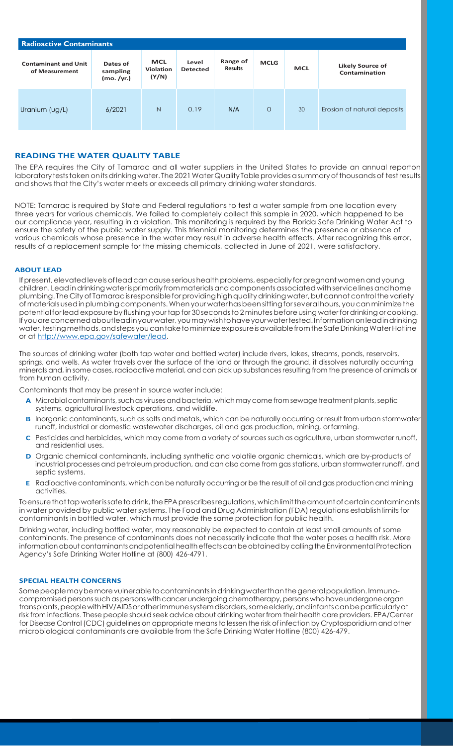| <b>Radioactive Contaminants</b>               |                                    |                                         |                          |                            |             |            |                                          |  |  |
|-----------------------------------------------|------------------------------------|-----------------------------------------|--------------------------|----------------------------|-------------|------------|------------------------------------------|--|--|
| <b>Contaminant and Unit</b><br>of Measurement | Dates of<br>sampling<br>(mo. /yr.) | <b>MCL</b><br><b>Violation</b><br>(Y/N) | Level<br><b>Detected</b> | Range of<br><b>Results</b> | <b>MCLG</b> | <b>MCL</b> | <b>Likely Source of</b><br>Contamination |  |  |
| Uranium (ug/L)                                | 6/2021                             | N                                       | 0.19                     | N/A                        | $\circ$     | 30         | Erosion of natural deposits              |  |  |

## **READING THE WATER QUALITY TABLE**

The EPA requires the City of Tamarac and all water suppliers in the United States to provide an annual reporton laboratory tests taken on its drinking water. The 2021 Water Quality Table provides a summary of thousands of test results and shows that the City's water meets or exceeds all primary drinking water standards.

NOTE: Tamarac is required by State and Federal regulations to test a water sample from one location every three years for various chemicals. We failed to completely collect this sample in 2020, which happened to be our compliance year, resulting in a violation. This monitoring is required by the Florida Safe Drinking Water Act to ensure the safety of the public water supply. This triennial monitoring determines the presence or absence of various chemicals whose presence in the water may result in adverse health effects. After recognizing this error, results of a replacement sample for the missing chemicals, collected in June of 2021, were satisfactory.

## **ABOUT LEAD**

If present, elevated levels of lead can cause serious health problems, especially for pregnant women and young children. Lead in drinking water is primarily from materials and components associated with service lines and home plumbing. The City of Tamarac is responsible for providing high quality drinking water, but cannot control the variety ofmaterials usedinplumbingcomponents.Whenyour waterhasbeensittingforseveralhours, youcanminimizethe potential for lead exposure by flushing your tap for 30 seconds to 2 minutes before using water for drinking or cooking. Ifyouareconcernedaboutleadinyourwater,youmaywishtohaveyourwatertested.Informationonleadindrinking water, testing methods, and steps you can take to minimize exposure is available from the Safe Drinking Water Hotline or at [http://www.epa.gov/safewater/lead.](http://www.epa.gov/safewater/lead)

The sources of drinking water (both tap water and bottled water) include rivers, lakes, streams, ponds, reservoirs, springs, and wells. As water travels over the surface of the land or through the ground, it dissolves naturally occurring minerals and, in some cases, radioactive material, and can pick up substancesresulting from the presence of animals or from human activity.

Contaminants that may be present in source water include:

- A Microbial contaminants, such as viruses and bacteria, which may come from sewage treatment plants, septic systems, agricultural livestock operations, and wildlife.
- **B** Inorganic contaminants, such as salts and metals, which can be naturally occurring or result from urban stormwater runoff, industrial or domestic wastewater discharges, oil and gas production, mining, or farming.
- **C** Pesticides and herbicides, which may come from a variety of sources such as agriculture, urban stormwater runoff, and residential uses.
- **D** Organic chemical contaminants, including synthetic and volatile organic chemicals, which are by-products of industrial processes and petroleum production, and can also come from gas stations, urban stormwater runoff, and septic systems.
- **E** Radioactive contaminants, which can be naturally occurring or be the result of oil and gas production and mining activities.

Toensure that tap water issafe to drink, the EPA prescribes regulations, which limit the amount of certain contaminants in water provided by public water systems. The Food and Drug Administration (FDA) regulations establish limits for contaminants in bottled water, which must provide the same protection for public health.

Drinking water, including bottled water, may reasonably be expected to contain at least small amounts of some contaminants. The presence of contaminants does not necessarily indicate that the water poses a health risk. More information about contaminants and potential health effects can be obtained by calling the Environmental Protection Agency's Safe Drinking Water Hotline at (800) 426-4791.

#### **SPECIAL HEALTH CONCERNS**

Somepeoplemaybemorevulnerabletocontaminantsindrinkingwaterthanthegeneralpopulation.Immunocompromised persons such as persons with cancer undergoing chemotherapy, persons who have undergone organ transplants, people with HIV/AIDS or otherimmune system disorders, some elderly, and infants can be particularly at risk from infections. These people should seek advice about drinking water from their health care providers. EPA/Center for Disease Control(CDC) guidelines on appropriate means to lessen the risk of infection by Cryptosporidium and other microbiological contaminants are available from the Safe Drinking Water Hotline (800) 426-479.